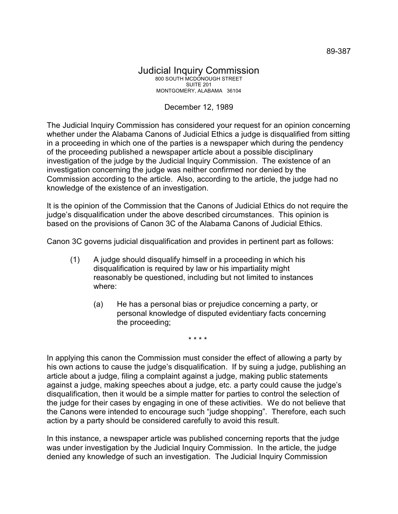## Judicial Inquiry Commission 800 SOUTH MCDONOUGH STREET SUITE 201 MONTGOMERY, ALABAMA 36104

## December 12, 1989

The Judicial Inquiry Commission has considered your request for an opinion concerning whether under the Alabama Canons of Judicial Ethics a judge is disqualified from sitting in a proceeding in which one of the parties is a newspaper which during the pendency of the proceeding published a newspaper article about a possible disciplinary investigation of the judge by the Judicial Inquiry Commission. The existence of an investigation concerning the judge was neither confirmed nor denied by the Commission according to the article. Also, according to the article, the judge had no knowledge of the existence of an investigation.

It is the opinion of the Commission that the Canons of Judicial Ethics do not require the judge's disqualification under the above described circumstances. This opinion is based on the provisions of Canon 3C of the Alabama Canons of Judicial Ethics.

Canon 3C governs judicial disqualification and provides in pertinent part as follows:

- (1) A judge should disqualify himself in a proceeding in which his disqualification is required by law or his impartiality might reasonably be questioned, including but not limited to instances where:
	- (a) He has a personal bias or prejudice concerning a party, or personal knowledge of disputed evidentiary facts concerning the proceeding;

\* \* \* \*

In applying this canon the Commission must consider the effect of allowing a party by his own actions to cause the judge's disqualification. If by suing a judge, publishing an article about a judge, filing a complaint against a judge, making public statements against a judge, making speeches about a judge, etc. a party could cause the judge's disqualification, then it would be a simple matter for parties to control the selection of the judge for their cases by engaging in one of these activities. We do not believe that the Canons were intended to encourage such "judge shopping". Therefore, each such action by a party should be considered carefully to avoid this result.

In this instance, a newspaper article was published concerning reports that the judge was under investigation by the Judicial Inquiry Commission. In the article, the judge denied any knowledge of such an investigation. The Judicial Inquiry Commission